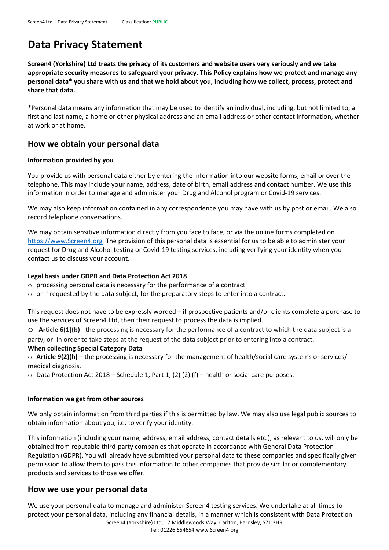# **Data Privacy Statement**

**Screen4 (Yorkshire) Ltd treats the privacy of its customers and website users very seriously and we take appropriate security measures to safeguard your privacy. This Policy explains how we protect and manage any personal data\* you share with us and that we hold about you, including how we collect, process, protect and share that data.**

\*Personal data means any information that may be used to identify an individual, including, but not limited to, a first and last name, a home or other physical address and an email address or other contact information, whether at work or at home.

# **How we obtain your personal data**

## **Information provided by you**

You provide us with personal data either by entering the information into our website forms, email or over the telephone. This may include your name, address, date of birth, email address and contact number. We use this information in order to manage and administer your Drug and Alcohol program or Covid-19 services.

We may also keep information contained in any correspondence you may have with us by post or email. We also record telephone conversations.

We may obtain sensitive information directly from you face to face, or via the online forms completed on [https://www.Screen4.org](https://www.screen4.org/) The provision of this personal data is essential for us to be able to administer your request for Drug and Alcohol testing or Covid-19 testing services, including verifying your identity when you contact us to discuss your account.

## **Legal basis under GDPR and Data Protection Act 2018**

- o processing personal data is necessary for the performance of a contract
- $\circ$  or if requested by the data subject, for the preparatory steps to enter into a contract.

This request does not have to be expressly worded – if prospective patients and/or clients complete a purchase to use the services of Screen4 Ltd, then their request to process the data is implied.

o **Article 6(1)(b)** - the processing is necessary for the performance of a contract to which the data subject is a party; or. In order to take steps at the request of the data subject prior to entering into a contract.

# **When collecting Special Category Data**

o **Article 9(2)(h)** – the processing is necessary for the management of health/social care systems or services/ medical diagnosis.

o Data Protection Act 2018 – Schedule 1, Part 1, (2) (2) (f) – health or social care purposes.

#### **Information we get from other sources**

We only obtain information from third parties if this is permitted by law. We may also use legal public sources to obtain information about you, i.e. to verify your identity.

This information (including your name, address, email address, contact details etc.), as relevant to us, will only be obtained from reputable third-party companies that operate in accordance with General Data Protection Regulation (GDPR). You will already have submitted your personal data to these companies and specifically given permission to allow them to pass this information to other companies that provide similar or complementary products and services to those we offer.

# **How we use your personal data**

Screen4 (Yorkshire) Ltd, 17 Middlewoods Way, Carlton, Barnsley, S71 3HR Tel: 01226 654654 www.Screen4.org We use your personal data to manage and administer Screen4 testing services. We undertake at all times to protect your personal data, including any financial details, in a manner which is consistent with Data Protection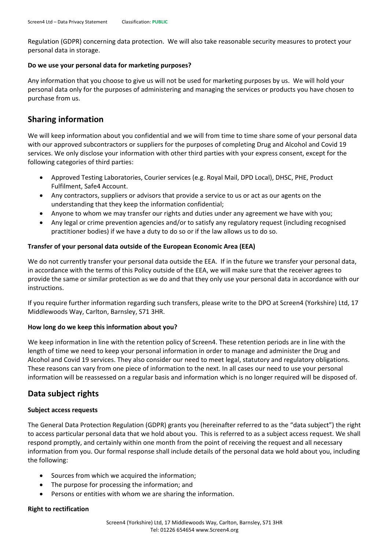Regulation (GDPR) concerning data protection. We will also take reasonable security measures to protect your personal data in storage.

### **Do we use your personal data for marketing purposes?**

Any information that you choose to give us will not be used for marketing purposes by us. We will hold your personal data only for the purposes of administering and managing the services or products you have chosen to purchase from us.

# **Sharing information**

We will keep information about you confidential and we will from time to time share some of your personal data with our approved subcontractors or suppliers for the purposes of completing Drug and Alcohol and Covid 19 services. We only disclose your information with other third parties with your express consent, except for the following categories of third parties:

- Approved Testing Laboratories, Courier services (e.g. Royal Mail, DPD Local), DHSC, PHE, Product Fulfilment, Safe4 Account.
- Any contractors, suppliers or advisors that provide a service to us or act as our agents on the understanding that they keep the information confidential;
- Anyone to whom we may transfer our rights and duties under any agreement we have with you;
- Any legal or crime prevention agencies and/or to satisfy any regulatory request (including recognised practitioner bodies) if we have a duty to do so or if the law allows us to do so.

# **Transfer of your personal data outside of the European Economic Area (EEA)**

We do not currently transfer your personal data outside the EEA. If in the future we transfer your personal data, in accordance with the terms of this Policy outside of the EEA, we will make sure that the receiver agrees to provide the same or similar protection as we do and that they only use your personal data in accordance with our instructions.

If you require further information regarding such transfers, please write to the DPO at Screen4 (Yorkshire) Ltd, 17 Middlewoods Way, Carlton, Barnsley, S71 3HR.

# **How long do we keep this information about you?**

We keep information in line with the retention policy of Screen4. These retention periods are in line with the length of time we need to keep your personal information in order to manage and administer the Drug and Alcohol and Covid 19 services. They also consider our need to meet legal, statutory and regulatory obligations. These reasons can vary from one piece of information to the next. In all cases our need to use your personal information will be reassessed on a regular basis and information which is no longer required will be disposed of.

# **Data subject rights**

# **Subject access requests**

The General Data Protection Regulation (GDPR) grants you (hereinafter referred to as the "data subject") the right to access particular personal data that we hold about you. This is referred to as a subject access request. We shall respond promptly, and certainly within one month from the point of receiving the request and all necessary information from you. Our formal response shall include details of the personal data we hold about you, including the following:

- Sources from which we acquired the information;
- The purpose for processing the information; and
- Persons or entities with whom we are sharing the information.

#### **Right to rectification**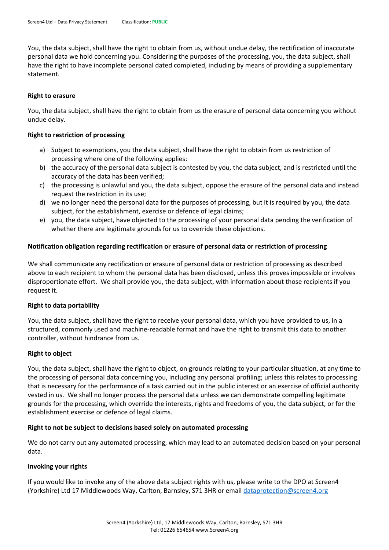You, the data subject, shall have the right to obtain from us, without undue delay, the rectification of inaccurate personal data we hold concerning you. Considering the purposes of the processing, you, the data subject, shall have the right to have incomplete personal dated completed, including by means of providing a supplementary statement.

#### **Right to erasure**

You, the data subject, shall have the right to obtain from us the erasure of personal data concerning you without undue delay.

#### **Right to restriction of processing**

- a) Subject to exemptions, you the data subject, shall have the right to obtain from us restriction of processing where one of the following applies:
- b) the accuracy of the personal data subject is contested by you, the data subject, and is restricted until the accuracy of the data has been verified;
- c) the processing is unlawful and you, the data subject, oppose the erasure of the personal data and instead request the restriction in its use;
- d) we no longer need the personal data for the purposes of processing, but it is required by you, the data subject, for the establishment, exercise or defence of legal claims;
- e) you, the data subject, have objected to the processing of your personal data pending the verification of whether there are legitimate grounds for us to override these objections.

#### **Notification obligation regarding rectification or erasure of personal data or restriction of processing**

We shall communicate any rectification or erasure of personal data or restriction of processing as described above to each recipient to whom the personal data has been disclosed, unless this proves impossible or involves disproportionate effort. We shall provide you, the data subject, with information about those recipients if you request it.

#### **Right to data portability**

You, the data subject, shall have the right to receive your personal data, which you have provided to us, in a structured, commonly used and machine-readable format and have the right to transmit this data to another controller, without hindrance from us.

#### **Right to object**

You, the data subject, shall have the right to object, on grounds relating to your particular situation, at any time to the processing of personal data concerning you, including any personal profiling; unless this relates to processing that is necessary for the performance of a task carried out in the public interest or an exercise of official authority vested in us. We shall no longer process the personal data unless we can demonstrate compelling legitimate grounds for the processing, which override the interests, rights and freedoms of you, the data subject, or for the establishment exercise or defence of legal claims.

#### **Right to not be subject to decisions based solely on automated processing**

We do not carry out any automated processing, which may lead to an automated decision based on your personal data.

#### **Invoking your rights**

If you would like to invoke any of the above data subject rights with us, please write to the DPO at Screen4 (Yorkshire) Ltd 17 Middlewoods Way, Carlton, Barnsley, S71 3HR or emai[l dataprotection@screen4.org](mailto:dataprotection@screen4.org)